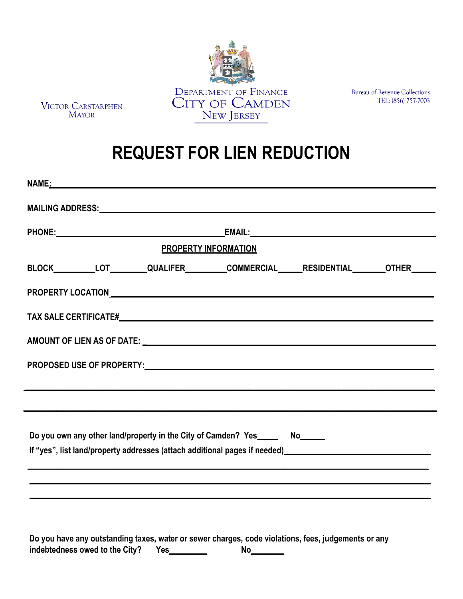

VICTOR CARSTARPHEN<br>MAYOR

**Bureau of Revenue Collections** TEL: (856) 757-7003

## **REQUEST FOR LIEN REDUCTION**

| <b>PROPERTY INFORMATION</b>                                                                                                                                                                                                                                |  |  |  |
|------------------------------------------------------------------------------------------------------------------------------------------------------------------------------------------------------------------------------------------------------------|--|--|--|
| BLOCK__________LOT_________QUALIFER_________COMMERCIAL______RESIDENTIAL_______OTHER______                                                                                                                                                                  |  |  |  |
|                                                                                                                                                                                                                                                            |  |  |  |
|                                                                                                                                                                                                                                                            |  |  |  |
|                                                                                                                                                                                                                                                            |  |  |  |
|                                                                                                                                                                                                                                                            |  |  |  |
|                                                                                                                                                                                                                                                            |  |  |  |
|                                                                                                                                                                                                                                                            |  |  |  |
| Do you own any other land/property in the City of Camden? Yes_______ No_______<br>If "yes", list land/property addresses (attach additional pages if needed)<br>Let "yes", list land/property addresses (attach additional pages if needed)<br>Let needed) |  |  |  |
|                                                                                                                                                                                                                                                            |  |  |  |
|                                                                                                                                                                                                                                                            |  |  |  |
|                                                                                                                                                                                                                                                            |  |  |  |

**Do you have any outstanding taxes, water or sewer charges, code violations, fees, judgements or any indebtedness owed to the City? Yes\_\_\_\_\_\_\_\_\_ No\_\_\_\_\_\_\_\_**